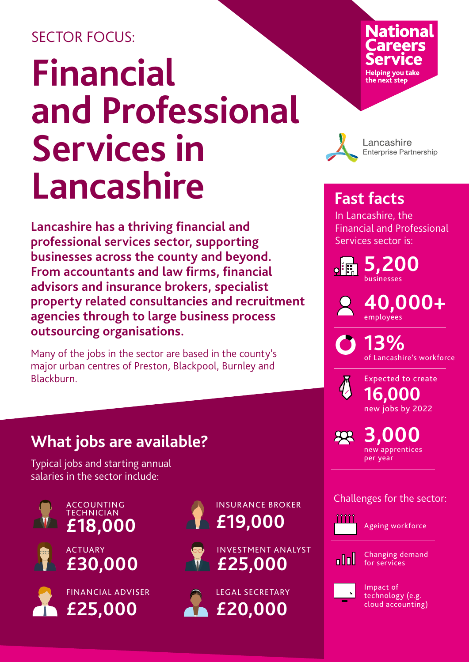#### SECTOR FOCUS:

# **Financial and Professional Services in Lancashire**

**Lancashire has a thriving financial and professional services sector, supporting businesses across the county and beyond. From accountants and law firms, financial advisors and insurance brokers, specialist property related consultancies and recruitment agencies through to large business process outsourcing organisations.**

Many of the jobs in the sector are based in the county's major urban centres of Preston, Blackpool, Burnley and Blackburn.

## **What jobs are available?**

Typical jobs and starting annual salaries in the sector include:



ACCOUNTING TECHNICIAN













## **National** Helping you take<br>the next step



Lancashire **Enterprise Partnership** 

#### **Fast facts**

In Lancashire, the Financial and Professional Services sector is:

**5,200**   $\circ$  iii

businesses

**40,000+**  employees

**13%**  of Lancashire's workforce

Expected to create new jobs by 2022 **16,000** 

**3,000**   $R$ new apprentices per year

Challenges for the sector:



Ageing workforce



Changing demand for services



Impact of technology (e.g. cloud accounting)